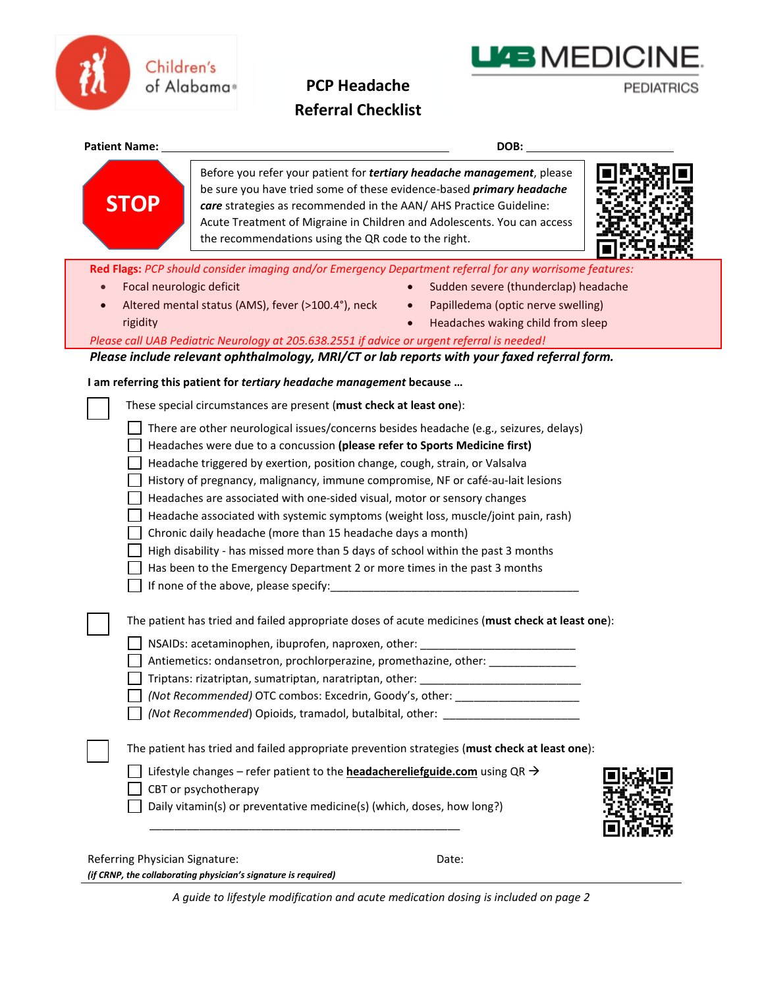

## **PCP Headache Referral Checklist**

**PEDIATRICS** 

**LIAB MEDICINE.** 

| <b>Patient Name:</b>           | DOB:                                                                                                                                                                                                                                                                                                                                                          |
|--------------------------------|---------------------------------------------------------------------------------------------------------------------------------------------------------------------------------------------------------------------------------------------------------------------------------------------------------------------------------------------------------------|
| <b>STOP</b>                    | Before you refer your patient for tertiary headache management, please<br>be sure you have tried some of these evidence-based <i>primary headache</i><br>care strategies as recommended in the AAN/ AHS Practice Guideline:<br>Acute Treatment of Migraine in Children and Adolescents. You can access<br>the recommendations using the QR code to the right. |
|                                | Red Flags: PCP should consider imaging and/or Emergency Department referral for any worrisome features:                                                                                                                                                                                                                                                       |
|                                | Focal neurologic deficit<br>Sudden severe (thunderclap) headache                                                                                                                                                                                                                                                                                              |
|                                | Altered mental status (AMS), fever (>100.4°), neck<br>Papilledema (optic nerve swelling)<br>$\bullet$                                                                                                                                                                                                                                                         |
| rigidity                       | Headaches waking child from sleep                                                                                                                                                                                                                                                                                                                             |
|                                | Please call UAB Pediatric Neurology at 205.638.2551 if advice or urgent referral is needed!                                                                                                                                                                                                                                                                   |
|                                | Please include relevant ophthalmology, MRI/CT or lab reports with your faxed referral form.                                                                                                                                                                                                                                                                   |
|                                | I am referring this patient for tertiary headache management because                                                                                                                                                                                                                                                                                          |
|                                |                                                                                                                                                                                                                                                                                                                                                               |
|                                | These special circumstances are present (must check at least one):                                                                                                                                                                                                                                                                                            |
|                                | There are other neurological issues/concerns besides headache (e.g., seizures, delays)                                                                                                                                                                                                                                                                        |
|                                | Headaches were due to a concussion (please refer to Sports Medicine first)                                                                                                                                                                                                                                                                                    |
|                                | Headache triggered by exertion, position change, cough, strain, or Valsalva                                                                                                                                                                                                                                                                                   |
|                                | History of pregnancy, malignancy, immune compromise, NF or café-au-lait lesions                                                                                                                                                                                                                                                                               |
|                                | Headaches are associated with one-sided visual, motor or sensory changes                                                                                                                                                                                                                                                                                      |
|                                | Headache associated with systemic symptoms (weight loss, muscle/joint pain, rash)                                                                                                                                                                                                                                                                             |
|                                | Chronic daily headache (more than 15 headache days a month)                                                                                                                                                                                                                                                                                                   |
|                                | High disability - has missed more than 5 days of school within the past 3 months                                                                                                                                                                                                                                                                              |
|                                | Has been to the Emergency Department 2 or more times in the past 3 months                                                                                                                                                                                                                                                                                     |
|                                | If none of the above, please specify:                                                                                                                                                                                                                                                                                                                         |
|                                |                                                                                                                                                                                                                                                                                                                                                               |
|                                | The patient has tried and failed appropriate doses of acute medicines (must check at least one):                                                                                                                                                                                                                                                              |
|                                | NSAIDs: acetaminophen, ibuprofen, naproxen, other:                                                                                                                                                                                                                                                                                                            |
|                                | Antiemetics: ondansetron, prochlorperazine, promethazine, other: _______________                                                                                                                                                                                                                                                                              |
|                                | Triptans: rizatriptan, sumatriptan, naratriptan, other:                                                                                                                                                                                                                                                                                                       |
|                                | (Not Recommended) OTC combos: Excedrin, Goody's, other: ________________________                                                                                                                                                                                                                                                                              |
|                                | (Not Recommended) Opioids, tramadol, butalbital, other: ________________________                                                                                                                                                                                                                                                                              |
|                                | The patient has tried and failed appropriate prevention strategies (must check at least one):                                                                                                                                                                                                                                                                 |
|                                |                                                                                                                                                                                                                                                                                                                                                               |
|                                | Lifestyle changes – refer patient to the <b>headachereliefguide.com</b> using QR $\rightarrow$<br>CBT or psychotherapy                                                                                                                                                                                                                                        |
|                                | Daily vitamin(s) or preventative medicine(s) (which, doses, how long?)                                                                                                                                                                                                                                                                                        |
|                                |                                                                                                                                                                                                                                                                                                                                                               |
|                                |                                                                                                                                                                                                                                                                                                                                                               |
| Referring Physician Signature: | Date:                                                                                                                                                                                                                                                                                                                                                         |
|                                | (if CRNP, the collaborating physician's signature is required)                                                                                                                                                                                                                                                                                                |

*A guide to lifestyle modification and acute medication dosing is included on page 2*